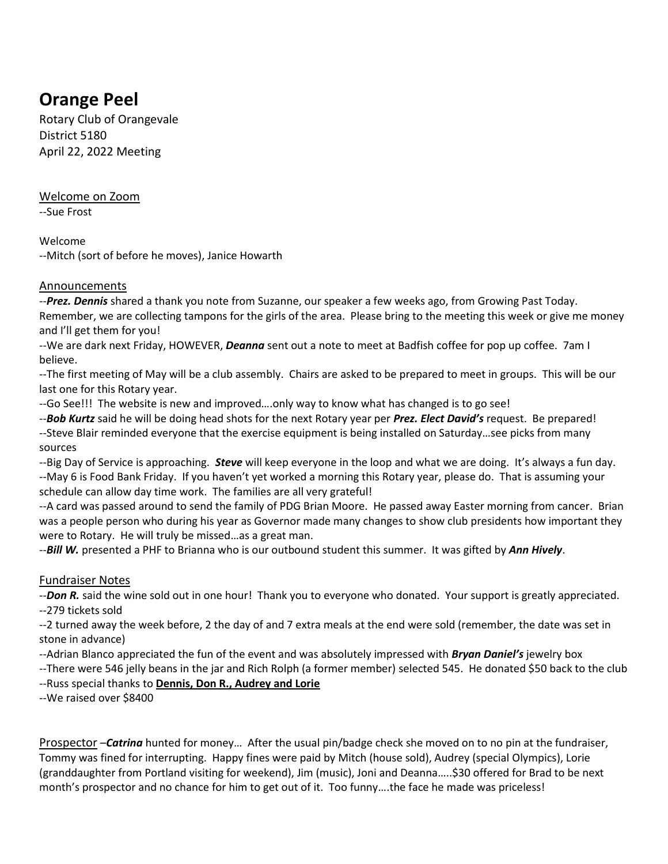# **Orange Peel**

Rotary Club of Orangevale District 5180 April 22, 2022 Meeting

## Welcome on Zoom

--Sue Frost

## Welcome

--Mitch (sort of before he moves), Janice Howarth

# Announcements

--*Prez. Dennis* shared a thank you note from Suzanne, our speaker a few weeks ago, from Growing Past Today. Remember, we are collecting tampons for the girls of the area. Please bring to the meeting this week or give me money and I'll get them for you!

--We are dark next Friday, HOWEVER, *Deanna* sent out a note to meet at Badfish coffee for pop up coffee. 7am I believe.

--The first meeting of May will be a club assembly. Chairs are asked to be prepared to meet in groups. This will be our last one for this Rotary year.

--Go See!!! The website is new and improved….only way to know what has changed is to go see!

--*Bob Kurtz* said he will be doing head shots for the next Rotary year per *Prez. Elect David's* request. Be prepared! --Steve Blair reminded everyone that the exercise equipment is being installed on Saturday…see picks from many sources

--Big Day of Service is approaching. *Steve* will keep everyone in the loop and what we are doing. It's always a fun day. --May 6 is Food Bank Friday. If you haven't yet worked a morning this Rotary year, please do. That is assuming your schedule can allow day time work. The families are all very grateful!

--A card was passed around to send the family of PDG Brian Moore. He passed away Easter morning from cancer. Brian was a people person who during his year as Governor made many changes to show club presidents how important they were to Rotary. He will truly be missed…as a great man.

--*Bill W.* presented a PHF to Brianna who is our outbound student this summer. It was gifted by *Ann Hively*.

# Fundraiser Notes

--*Don R.* said the wine sold out in one hour! Thank you to everyone who donated. Your support is greatly appreciated. --279 tickets sold

--2 turned away the week before, 2 the day of and 7 extra meals at the end were sold (remember, the date was set in stone in advance)

--Adrian Blanco appreciated the fun of the event and was absolutely impressed with *Bryan Daniel's* jewelry box

--There were 546 jelly beans in the jar and Rich Rolph (a former member) selected 545. He donated \$50 back to the club --Russ special thanks to **Dennis, Don R., Audrey and Lorie**

--We raised over \$8400

Prospector –*Catrina* hunted for money… After the usual pin/badge check she moved on to no pin at the fundraiser, Tommy was fined for interrupting. Happy fines were paid by Mitch (house sold), Audrey (special Olympics), Lorie (granddaughter from Portland visiting for weekend), Jim (music), Joni and Deanna…..\$30 offered for Brad to be next month's prospector and no chance for him to get out of it. Too funny….the face he made was priceless!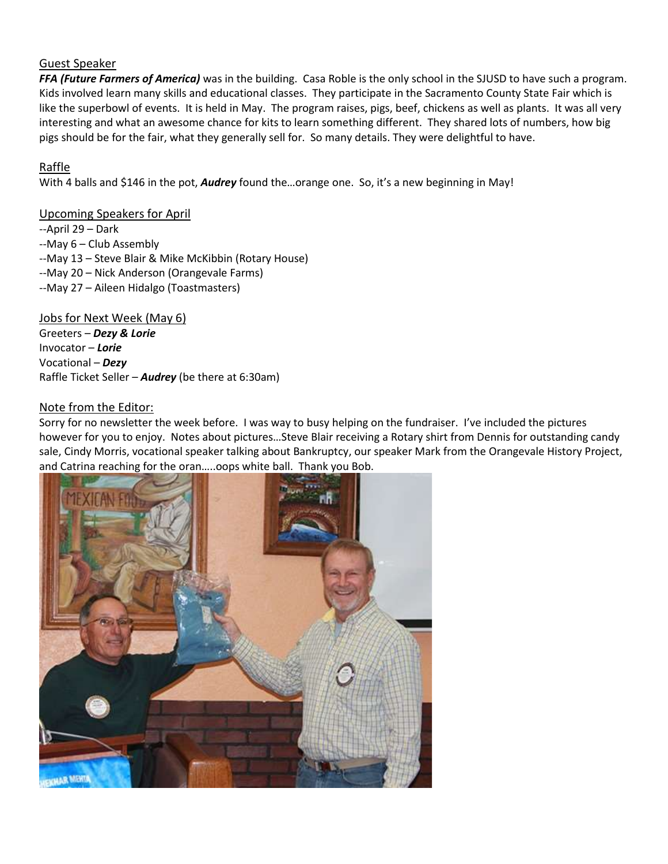#### Guest Speaker

*FFA (Future Farmers of America)* was in the building. Casa Roble is the only school in the SJUSD to have such a program. Kids involved learn many skills and educational classes. They participate in the Sacramento County State Fair which is like the superbowl of events. It is held in May. The program raises, pigs, beef, chickens as well as plants. It was all very interesting and what an awesome chance for kits to learn something different. They shared lots of numbers, how big pigs should be for the fair, what they generally sell for. So many details. They were delightful to have.

## Raffle

With 4 balls and \$146 in the pot, *Audrey* found the…orange one. So, it's a new beginning in May!

#### Upcoming Speakers for April

--April 29 – Dark --May 6 – Club Assembly --May 13 – Steve Blair & Mike McKibbin (Rotary House) --May 20 – Nick Anderson (Orangevale Farms) --May 27 – Aileen Hidalgo (Toastmasters)

## Jobs for Next Week (May 6)

Greeters – *Dezy & Lorie* Invocator – *Lorie* Vocational – *Dezy* Raffle Ticket Seller – *Audrey* (be there at 6:30am)

#### Note from the Editor:

Sorry for no newsletter the week before. I was way to busy helping on the fundraiser. I've included the pictures however for you to enjoy. Notes about pictures…Steve Blair receiving a Rotary shirt from Dennis for outstanding candy sale, Cindy Morris, vocational speaker talking about Bankruptcy, our speaker Mark from the Orangevale History Project, and Catrina reaching for the oran…..oops white ball. Thank you Bob.

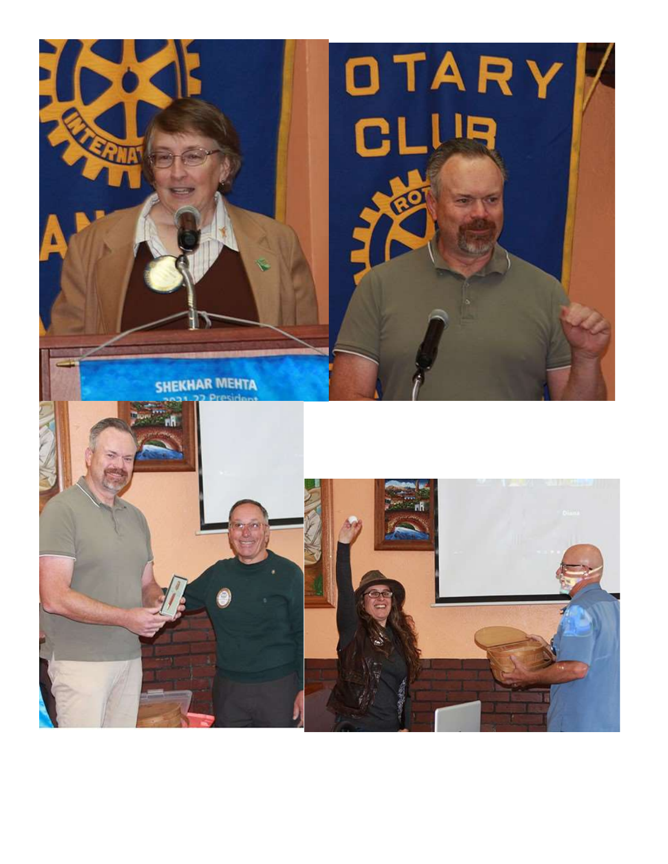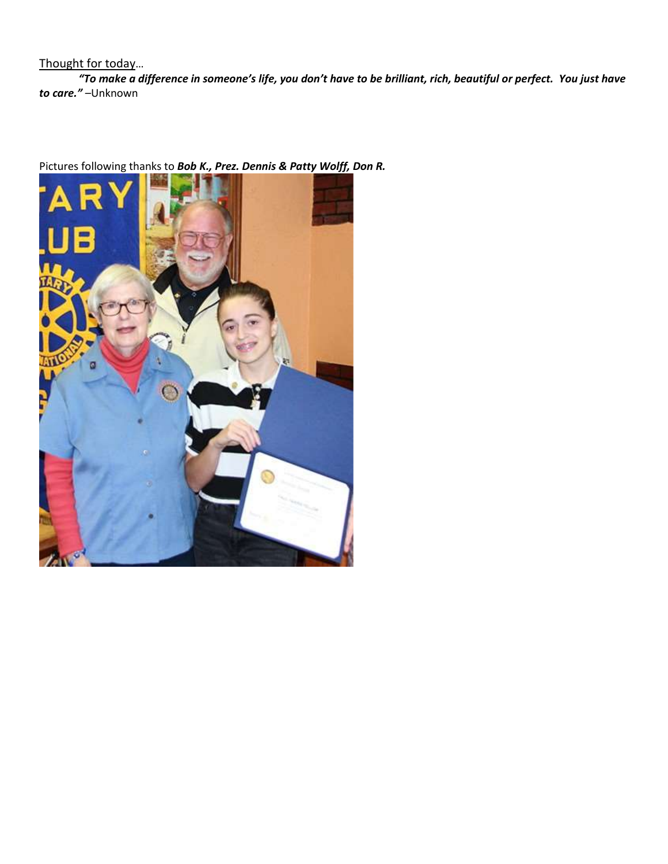Thought for today…

*"To make a difference in someone's life, you don't have to be brilliant, rich, beautiful or perfect. You just have to care."* –Unknown



# Pictures following thanks to *Bob K., Prez. Dennis & Patty Wolff, Don R.*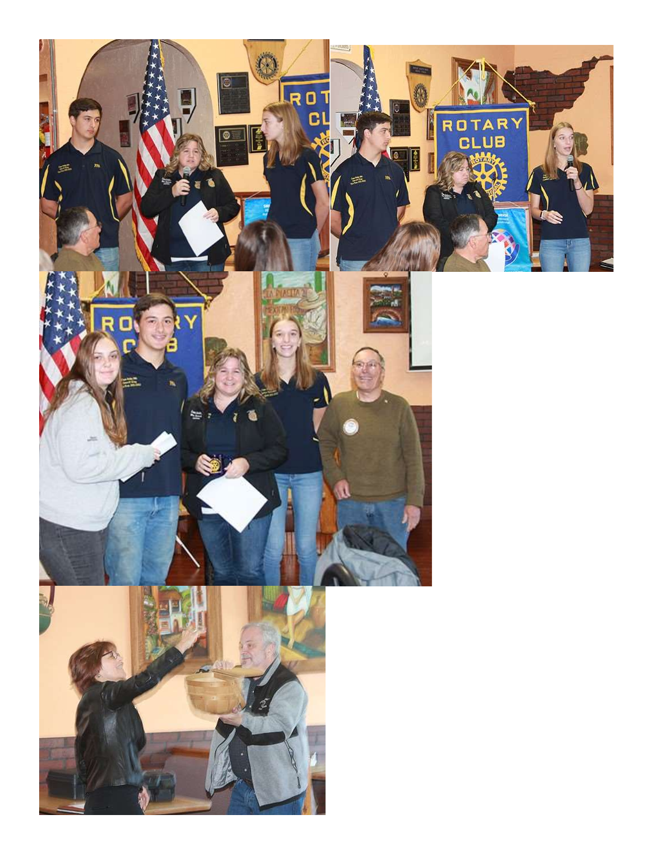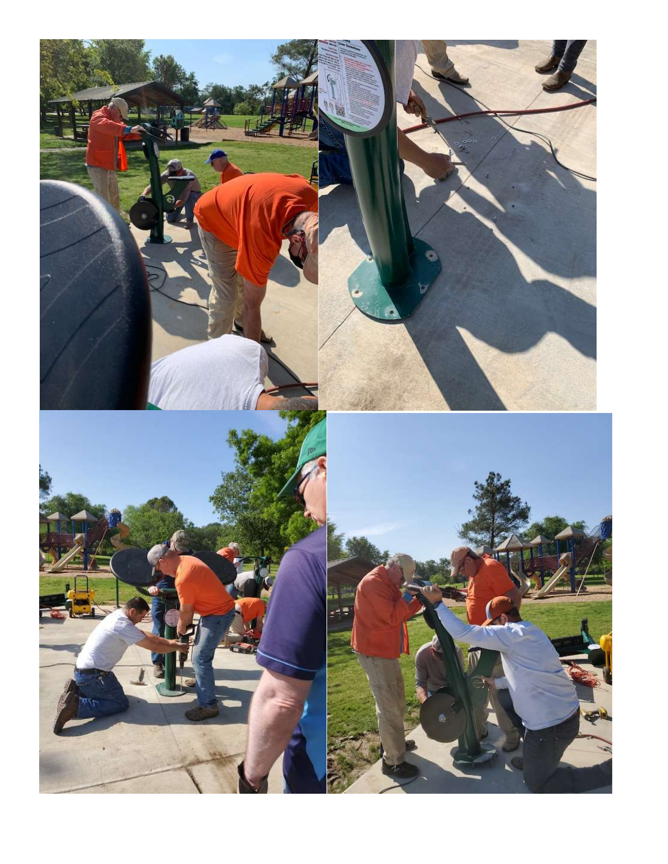